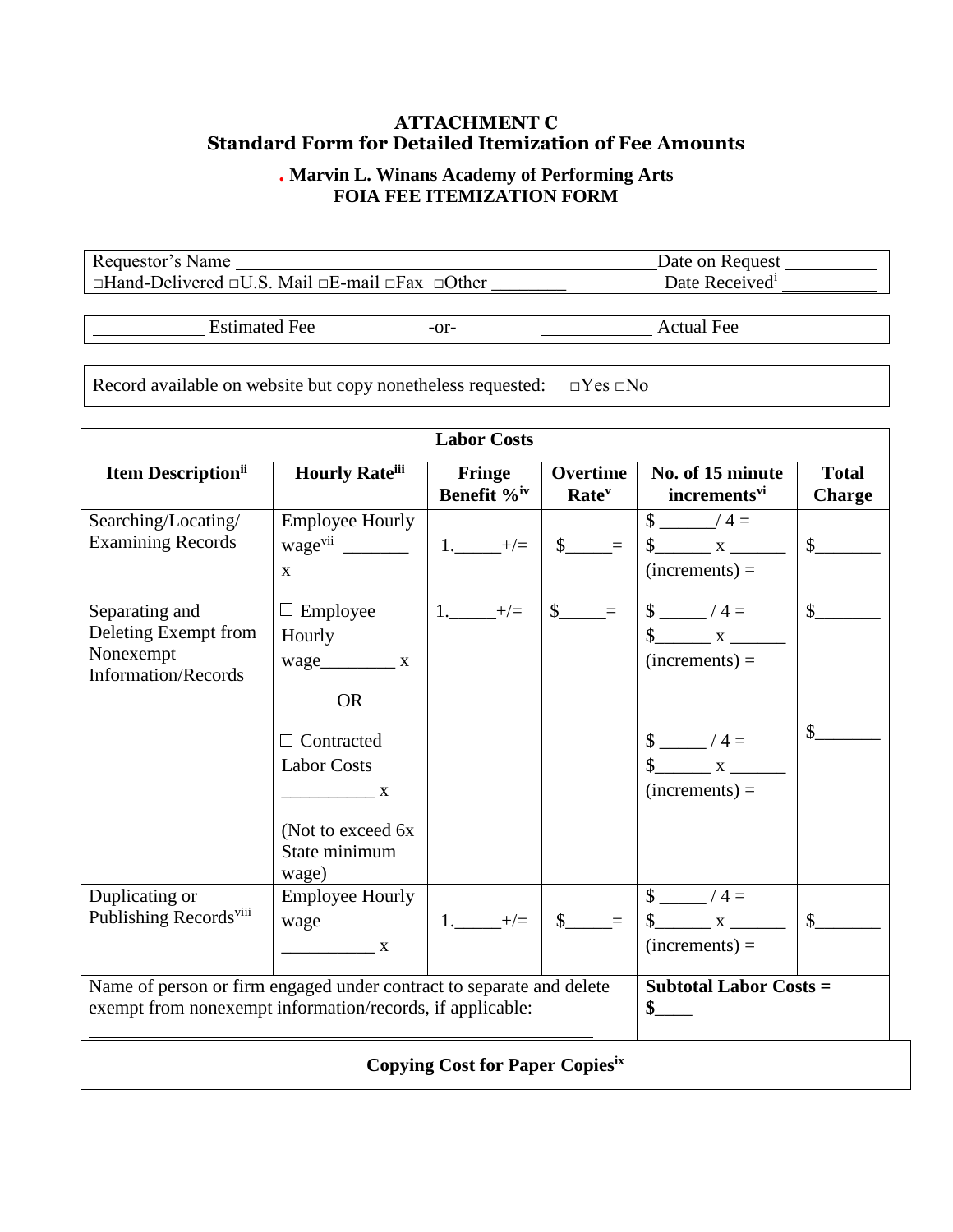## **ATTACHMENT C Standard Form for Detailed Itemization of Fee Amounts**

## **. Marvin L. Winans Academy of Performing Arts FOIA FEE ITEMIZATION FORM**

Requestor's Name Date on Request \_ Date on Request \_ Date on Request \_ Date on Request \_ Date Received \_ \_ Date Received \_ \_ \_ \_ \_ Date Received \_ \_ \_ \_ \_ \_ \_ \_ \_ Date Received \_ \_ \_ \_ \_ \_ \_ \_ \_ \_ Date Received \_ \_ \_ \_ \_ \_ □Hand-Delivered □U.S. Mail □E-mail □Fax □Other

Estimated Fee -or- Actual Fee

Record available on website but copy nonetheless requested: □Yes □No

| <b>Labor Costs</b>                                                                                                                |                                                                                                 |                                   |                                   |                                                                                       |                               |
|-----------------------------------------------------------------------------------------------------------------------------------|-------------------------------------------------------------------------------------------------|-----------------------------------|-----------------------------------|---------------------------------------------------------------------------------------|-------------------------------|
| <b>Item Description</b> ii                                                                                                        | <b>Hourly Rateiii</b>                                                                           | Fringe<br>Benefit % <sup>iv</sup> | Overtime<br>Rate <sup>v</sup>     | No. of 15 minute<br>incrementsvi                                                      | <b>Total</b><br><b>Charge</b> |
| Searching/Locating/<br><b>Examining Records</b>                                                                                   | <b>Employee Hourly</b><br>$\mathbf{X}$                                                          | $1.$ $+/-$                        | $\$\$ =                           | $\frac{\sqrt{4}}{2}$<br>$(increments) =$                                              | $\mathbb{S}$                  |
| Separating and<br>Deleting Exempt from<br>Nonexempt<br><b>Information/Records</b>                                                 | $\Box$ Employee<br>Hourly<br>wage_____________ x<br><b>OR</b><br>Contracted                     | 1. $+/-$                          | $\frac{\S_{\perp}}{\S_{\perp}}$ = | $\sqrt{4}$<br>$\frac{\text{S}}{\text{S}}$ x<br>$(increments) =$<br>$\frac{1}{2}$ /4 = | $\sqrt{\ }$<br>$\mathsf{\$}$  |
|                                                                                                                                   | <b>Labor Costs</b><br>$\overline{\phantom{a}}$ X<br>(Not to exceed 6x<br>State minimum<br>wage) |                                   |                                   | $\int x dx$<br>$(increments) =$                                                       |                               |
| Duplicating or<br>Publishing Records <sup>viii</sup>                                                                              | <b>Employee Hourly</b><br>wage<br>$\overline{\phantom{a}}$ X                                    | $1.$ $+/-$                        | $s$ =                             | $\frac{1}{2}$ /4 =<br>$(increments) =$                                                | $\int$                        |
| Name of person or firm engaged under contract to separate and delete<br>exempt from nonexempt information/records, if applicable: |                                                                                                 |                                   |                                   | <b>Subtotal Labor Costs =</b><br>$\mathbf{s}$                                         |                               |
| <b>Copying Cost for Paper Copiesix</b>                                                                                            |                                                                                                 |                                   |                                   |                                                                                       |                               |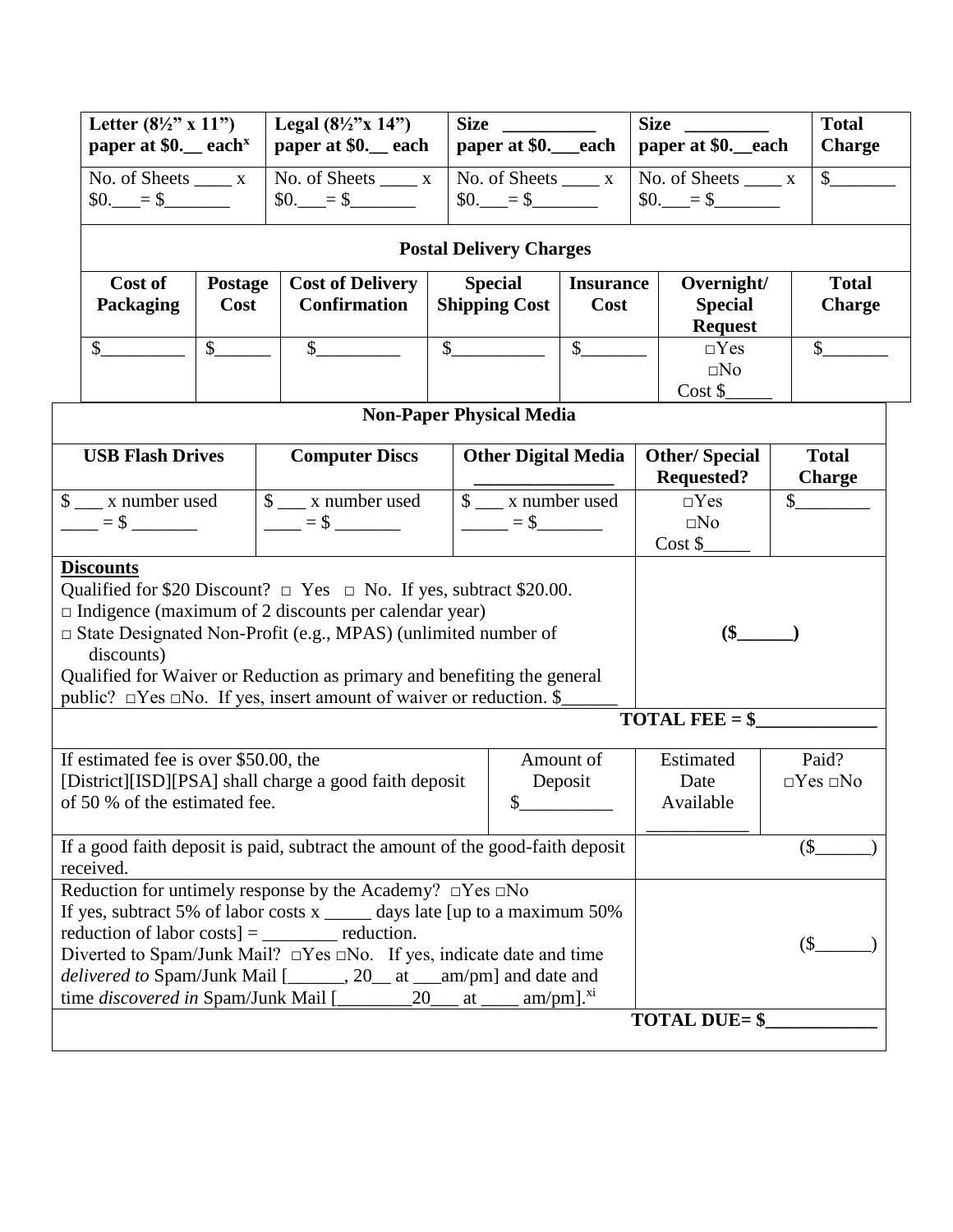| Letter $(8\frac{1}{2}$ " x 11")<br>paper at \$0. each $\frac{x}{2}$ paper at \$0. each paper at \$0. each paper at \$0. each | Legal $(8\frac{1}{2}$ "x 14") | <b>Size</b>                | <b>Size</b>                           | <b>Total</b><br><b>Charge</b> |
|------------------------------------------------------------------------------------------------------------------------------|-------------------------------|----------------------------|---------------------------------------|-------------------------------|
| No. of Sheets<br>$$0. = $$                                                                                                   | No. of Sheets<br>$$0. = $$    | No. of Sheets<br>$$0. = $$ | No. of Sheets<br>$\sim$ \$0.<br>$= 5$ |                               |

## **Postal Delivery Charges**

| Cost of<br>Packaging | <b>Postage</b><br>Cost | <b>Cost of Delivery</b><br><b>Confirmation</b> | <b>Special</b><br><b>Shipping Cost</b> | <b>Insurance</b><br>Cost | Overnight/<br><b>Special</b><br><b>Request</b> | <b>Total</b><br><b>Charge</b> |
|----------------------|------------------------|------------------------------------------------|----------------------------------------|--------------------------|------------------------------------------------|-------------------------------|
|                      |                        |                                                |                                        |                          | $\Box$ Yes<br>$\square$ No<br>Cost \$          |                               |

| <b>Non-Paper Physical Media</b>                                                                                                                                                                                                                                                                                                                                                                               |                                                                                                                                                                                                                                                                                                                                                                                                                                                          |                                                   |                                           |                               |  |
|---------------------------------------------------------------------------------------------------------------------------------------------------------------------------------------------------------------------------------------------------------------------------------------------------------------------------------------------------------------------------------------------------------------|----------------------------------------------------------------------------------------------------------------------------------------------------------------------------------------------------------------------------------------------------------------------------------------------------------------------------------------------------------------------------------------------------------------------------------------------------------|---------------------------------------------------|-------------------------------------------|-------------------------------|--|
| <b>USB Flash Drives</b>                                                                                                                                                                                                                                                                                                                                                                                       | <b>Computer Discs</b>                                                                                                                                                                                                                                                                                                                                                                                                                                    | <b>Other Digital Media</b>                        | <b>Other/Special</b><br><b>Requested?</b> | <b>Total</b><br><b>Charge</b> |  |
| $\frac{1}{2}$ x number used<br>$=$ \$ $-$                                                                                                                                                                                                                                                                                                                                                                     | $\frac{1}{2}$ x number used<br>$\frac{1}{\sqrt{1-\frac{1}{2}}}=$ \$ $\frac{1}{\sqrt{1-\frac{1}{2}}}\frac{1}{\sqrt{1-\frac{1}{2}}}\frac{1}{\sqrt{1-\frac{1}{2}}}\frac{1}{\sqrt{1-\frac{1}{2}}}\frac{1}{\sqrt{1-\frac{1}{2}}}\frac{1}{\sqrt{1-\frac{1}{2}}}\frac{1}{\sqrt{1-\frac{1}{2}}}\frac{1}{\sqrt{1-\frac{1}{2}}}\frac{1}{\sqrt{1-\frac{1}{2}}}\frac{1}{\sqrt{1-\frac{1}{2}}}\frac{1}{\sqrt{1-\frac{1}{2}}}\frac{1}{\sqrt{1-\frac{1}{2}}}\frac{1}{\$ | $\frac{1}{2}$ x number used<br>$\frac{1}{1}$ = \$ | $\neg Yes$<br>$\square$ No<br>Cost \$     | $\mathsf{\$}$                 |  |
| <b>Discounts</b><br>Qualified for \$20 Discount? $\Box$ Yes $\Box$ No. If yes, subtract \$20.00.<br>$\Box$ Indigence (maximum of 2 discounts per calendar year)<br>□ State Designated Non-Profit (e.g., MPAS) (unlimited number of<br>discounts)<br>Qualified for Waiver or Reduction as primary and benefiting the general<br>public? $\Box$ Yes $\Box$ No. If yes, insert amount of waiver or reduction. \$ | $$^{(5)}$$<br><b>TOTAL FEE = <math>\</math></b>                                                                                                                                                                                                                                                                                                                                                                                                          |                                                   |                                           |                               |  |
|                                                                                                                                                                                                                                                                                                                                                                                                               |                                                                                                                                                                                                                                                                                                                                                                                                                                                          |                                                   |                                           |                               |  |
| If estimated fee is over \$50.00, the<br>of 50 % of the estimated fee.                                                                                                                                                                                                                                                                                                                                        | [District][ISD][PSA] shall charge a good faith deposit                                                                                                                                                                                                                                                                                                                                                                                                   | Amount of<br>Deposit<br>\$                        | Estimated<br>Date<br>Available            | Paid?<br>$\Box$ Yes $\Box$ No |  |
| If a good faith deposit is paid, subtract the amount of the good-faith deposit<br>received.                                                                                                                                                                                                                                                                                                                   |                                                                                                                                                                                                                                                                                                                                                                                                                                                          | $($ \$                                            |                                           |                               |  |
| Reduction for untimely response by the Academy? $\Box$ Yes $\Box$ No<br>If yes, subtract 5% of labor costs $x$ _______ days late [up to a maximum 50%<br>reduction of labor costs] $=$ __________ reduction.<br>Diverted to Spam/Junk Mail? $\Box$ Yes $\Box$ No. If yes, indicate date and time<br>delivered to Spam/Junk Mail [______, 20__ at __am/pm] and date and                                        |                                                                                                                                                                                                                                                                                                                                                                                                                                                          | (S)                                               |                                           |                               |  |
| <b>TOTAL DUE= \$</b>                                                                                                                                                                                                                                                                                                                                                                                          |                                                                                                                                                                                                                                                                                                                                                                                                                                                          |                                                   |                                           |                               |  |